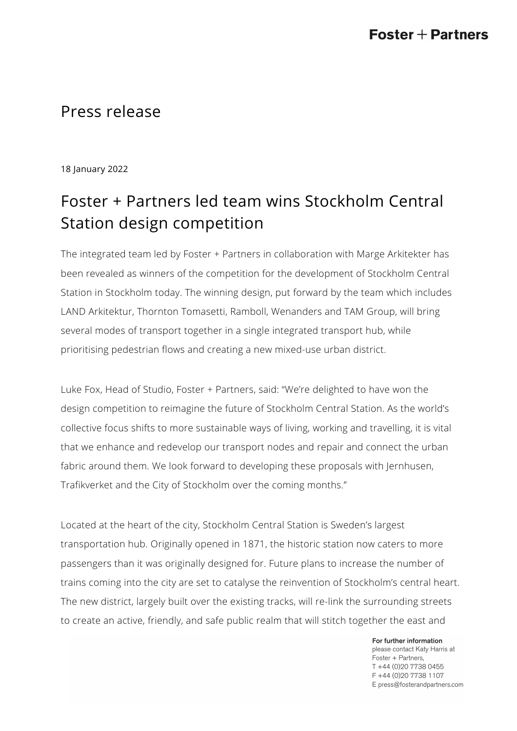# Press release

18 January 2022

# Foster + Partners led team wins Stockholm Central Station design competition

The integrated team led by Foster + Partners in collaboration with Marge Arkitekter has been revealed as winners of the competition for the development of Stockholm Central Station in Stockholm today. The winning design, put forward by the team which includes LAND Arkitektur, Thornton Tomasetti, Ramboll, Wenanders and TAM Group, will bring several modes of transport together in a single integrated transport hub, while prioritising pedestrian flows and creating a new mixed-use urban district.

Luke Fox, Head of Studio, Foster + Partners, said: "We're delighted to have won the design competition to reimagine the future of Stockholm Central Station. As the world's collective focus shifts to more sustainable ways of living, working and travelling, it is vital that we enhance and redevelop our transport nodes and repair and connect the urban fabric around them. We look forward to developing these proposals with Jernhusen, Trafikverket and the City of Stockholm over the coming months."

Located at the heart of the city, Stockholm Central Station is Sweden's largest transportation hub. Originally opened in 1871, the historic station now caters to more passengers than it was originally designed for. Future plans to increase the number of trains coming into the city are set to catalyse the reinvention of Stockholm's central heart. The new district, largely built over the existing tracks, will re-link the surrounding streets to create an active, friendly, and safe public realm that will stitch together the east and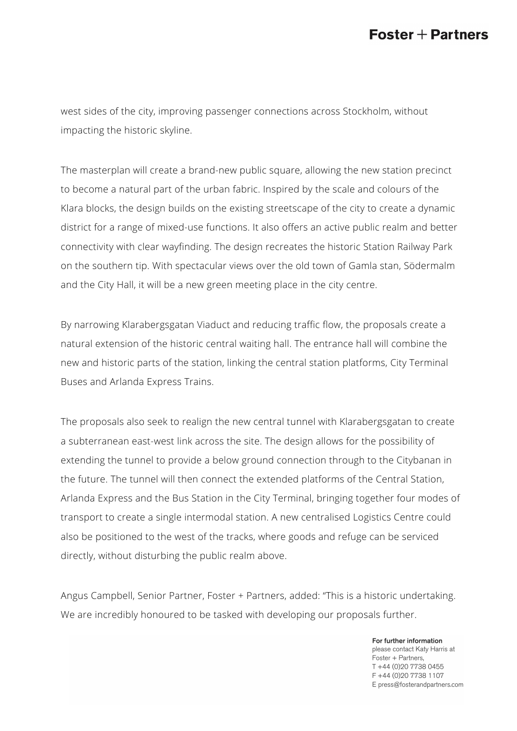## $\textsf{Foster}+\textsf{Partners}$

west sides of the city, improving passenger connections across Stockholm, without impacting the historic skyline.

The masterplan will create a brand-new public square, allowing the new station precinct to become a natural part of the urban fabric. Inspired by the scale and colours of the Klara blocks, the design builds on the existing streetscape of the city to create a dynamic district for a range of mixed-use functions. It also offers an active public realm and better connectivity with clear wayfinding. The design recreates the historic Station Railway Park on the southern tip. With spectacular views over the old town of Gamla stan, Södermalm and the City Hall, it will be a new green meeting place in the city centre.

By narrowing Klarabergsgatan Viaduct and reducing traffic flow, the proposals create a natural extension of the historic central waiting hall. The entrance hall will combine the new and historic parts of the station, linking the central station platforms, City Terminal Buses and Arlanda Express Trains.

The proposals also seek to realign the new central tunnel with Klarabergsgatan to create a subterranean east-west link across the site. The design allows for the possibility of extending the tunnel to provide a below ground connection through to the Citybanan in the future. The tunnel will then connect the extended platforms of the Central Station, Arlanda Express and the Bus Station in the City Terminal, bringing together four modes of transport to create a single intermodal station. A new centralised Logistics Centre could also be positioned to the west of the tracks, where goods and refuge can be serviced directly, without disturbing the public realm above.

Angus Campbell, Senior Partner, Foster + Partners, added: "This is a historic undertaking. We are incredibly honoured to be tasked with developing our proposals further.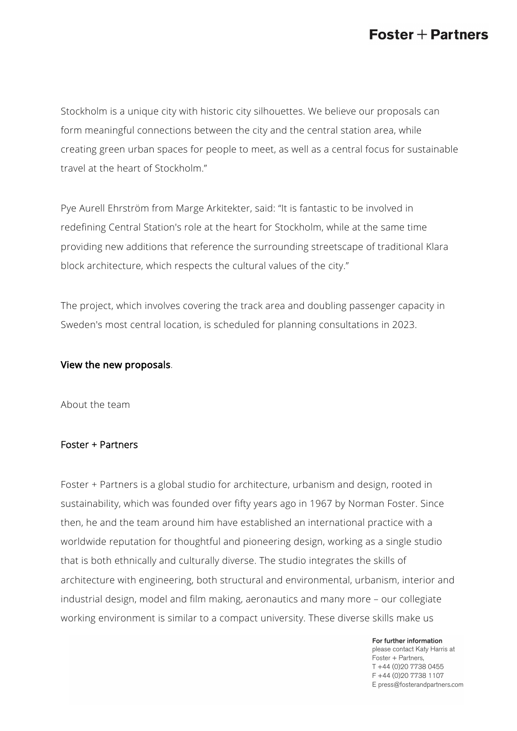# $\textsf{Foster}+\textsf{Partners}$

Stockholm is a unique city with historic city silhouettes. We believe our proposals can form meaningful connections between the city and the central station area, while creating green urban spaces for people to meet, as well as a central focus for sustainable travel at the heart of Stockholm."

Pye Aurell Ehrström from Marge Arkitekter, said: "It is fantastic to be involved in redefining Central Station's role at the heart for Stockholm, while at the same time providing new additions that reference the surrounding streetscape of traditional Klara block architecture, which respects the cultural values of the city."

The project, which involves covering the track area and doubling passenger capacity in Sweden's most central location, is scheduled for planning consultations in 2023.

#### [View the new proposals](http://www.centralstaden.se).

About the team

### Foster + Partners

Foster + Partners is a global studio for architecture, urbanism and design, rooted in sustainability, which was founded over fifty years ago in 1967 by Norman Foster. Since then, he and the team around him have established an international practice with a worldwide reputation for thoughtful and pioneering design, working as a single studio that is both ethnically and culturally diverse. The studio integrates the skills of architecture with engineering, both structural and environmental, urbanism, interior and industrial design, model and film making, aeronautics and many more – our collegiate working environment is similar to a compact university. These diverse skills make us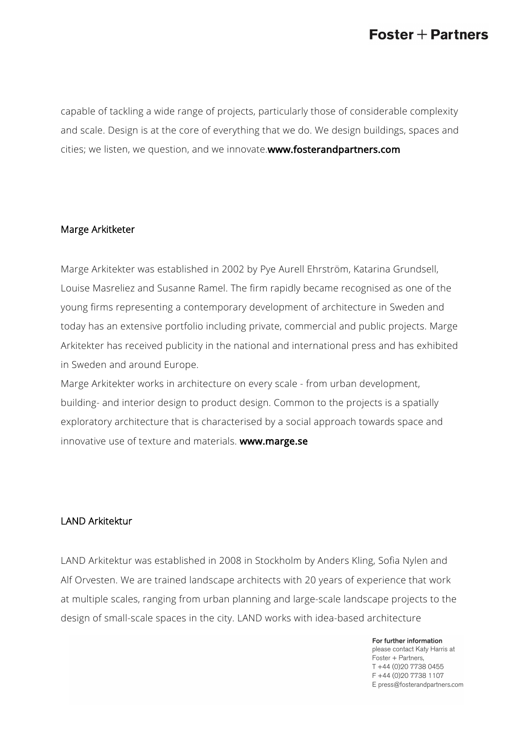## $\textsf{Foster}+\textsf{Partners}$

capable of tackling a wide range of projects, particularly those of considerable complexity and scale. Design is at the core of everything that we do. We design buildings, spaces and cities; we listen, we question, and we innovate.[www.fosterandpartners.com](http://www.fosterandpartners.com)

#### Marge Arkitketer

Marge Arkitekter was established in 2002 by Pye Aurell Ehrström, Katarina Grundsell, Louise Masreliez and Susanne Ramel. The firm rapidly became recognised as one of the young firms representing a contemporary development of architecture in Sweden and today has an extensive portfolio including private, commercial and public projects. Marge Arkitekter has received publicity in the national and international press and has exhibited in Sweden and around Europe.

Marge Arkitekter works in architecture on every scale - from urban development, building- and interior design to product design. Common to the projects is a spatially exploratory architecture that is characterised by a social approach towards space and innovative use of texture and materials. [www.marge.se](http://www.marge.se)

#### LAND Arkitektur

LAND Arkitektur was established in 2008 in Stockholm by Anders Kling, Sofia Nylen and Alf Orvesten. We are trained landscape architects with 20 years of experience that work at multiple scales, ranging from urban planning and large-scale landscape projects to the design of small-scale spaces in the city. LAND works with idea-based architecture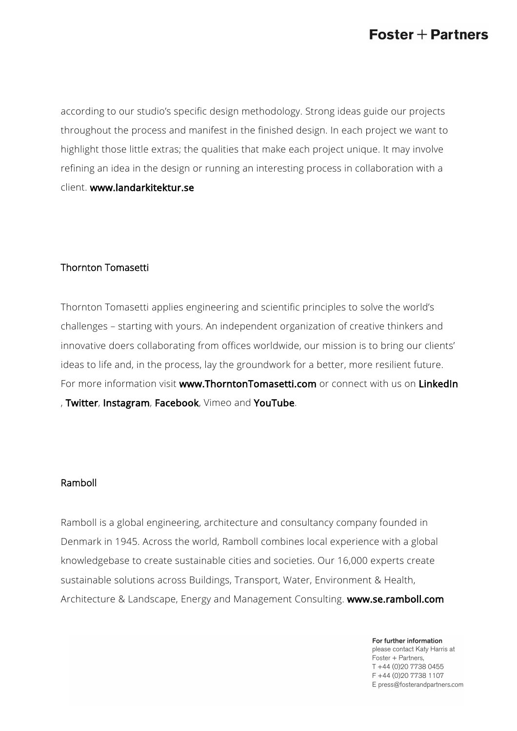according to our studio's specific design methodology. Strong ideas guide our projects throughout the process and manifest in the finished design. In each project we want to highlight those little extras; the qualities that make each project unique. It may involve refining an idea in the design or running an interesting process in collaboration with a client. [www.landarkitektur.se](http://www.landarkitektur.se)

### Thornton Tomasetti

Thornton Tomasetti applies engineering and scientific principles to solve the world's challenges – starting with yours. An independent organization of creative thinkers and innovative doers collaborating from offices worldwide, our mission is to bring our clients' ideas to life and, in the process, lay the groundwork for a better, more resilient future. For more information visit [www.ThorntonTomasetti.com](https://protect-eu.mimecast.com/s/aQEMCQn8GHlEGxjunLa65) or connect with us on [LinkedIn](https://protect-eu.mimecast.com/s/njS9CBNYmHR9Qo5F6PVbg?domain=linkedin.com) , [Twitter](https://protect-eu.mimecast.com/s/wOxLCD1VoiJK2PlfAAWSx?domain=twitter.com), [Instagram](https://protect-eu.mimecast.com/s/BH6LCE8Vpi0JrP5tPrAyh?domain=instagram.com/), [Facebook](https://protect-eu.mimecast.com/s/cp90CGvVrCOpxg5tka_LX?domain=facebook.com), Vimeo and [YouTube](https://protect-eu.mimecast.com/s/qCupCJy9xUAmGXESOrBjU?domain=youtube.com).

#### Ramboll

Ramboll is a global engineering, architecture and consultancy company founded in Denmark in 1945. Across the world, Ramboll combines local experience with a global knowledgebase to create sustainable cities and societies. Our 16,000 experts create sustainable solutions across Buildings, Transport, Water, Environment & Health, Architecture & Landscape, Energy and Management Consulting. [www.se.ramboll.com](https://protect-eu.mimecast.com/s/6LhtCzvwzCwMw2JuXFTJX?domain=se.ramboll.com)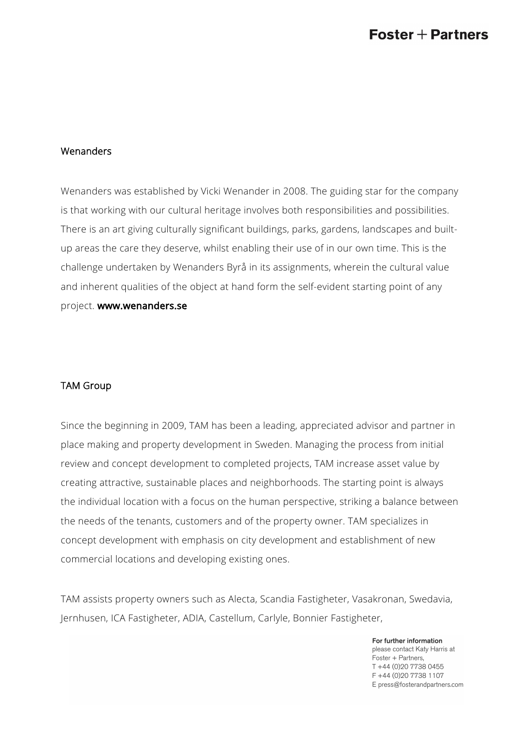### Wenanders

Wenanders was established by Vicki Wenander in 2008. The guiding star for the company is that working with our cultural heritage involves both responsibilities and possibilities. There is an art giving culturally significant buildings, parks, gardens, landscapes and builtup areas the care they deserve, whilst enabling their use of in our own time. This is the challenge undertaken by Wenanders Byrå in its assignments, wherein the cultural value and inherent qualities of the object at hand form the self-evident starting point of any project. [www.wenanders.se](https://protect-eu.mimecast.com/s/AOg7CvlpvtL7q7jtX4Bkt?domain=wenanders.se/)

#### TAM Group

Since the beginning in 2009, TAM has been a leading, appreciated advisor and partner in place making and property development in Sweden. Managing the process from initial review and concept development to completed projects, TAM increase asset value by creating attractive, sustainable places and neighborhoods. The starting point is always the individual location with a focus on the human perspective, striking a balance between the needs of the tenants, customers and of the property owner. TAM specializes in concept development with emphasis on city development and establishment of new commercial locations and developing existing ones.

TAM assists property owners such as Alecta, Scandia Fastigheter, Vasakronan, Swedavia, Jernhusen, ICA Fastigheter, ADIA, Castellum, Carlyle, Bonnier Fastigheter,